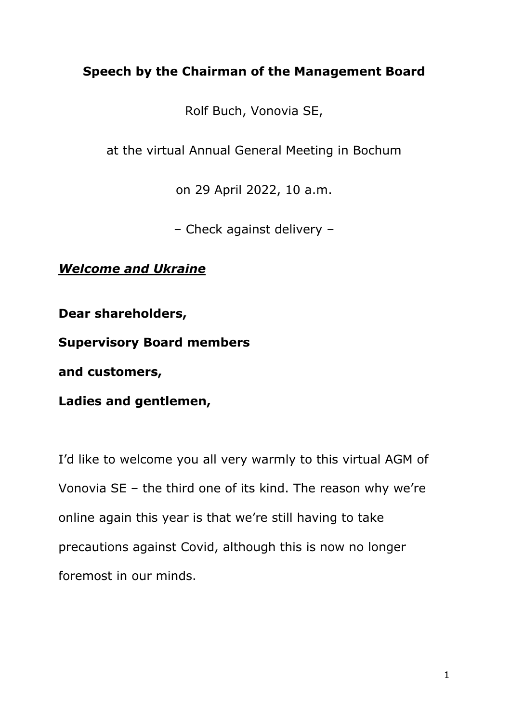# **Speech by the Chairman of the Management Board**

Rolf Buch, Vonovia SE,

at the virtual Annual General Meeting in Bochum

on 29 April 2022, 10 a.m.

– Check against delivery –

*Welcome and Ukraine*

**Dear shareholders,** 

**Supervisory Board members**

**and customers,**

**Ladies and gentlemen,**

I'd like to welcome you all very warmly to this virtual AGM of Vonovia SE – the third one of its kind. The reason why we're online again this year is that we're still having to take precautions against Covid, although this is now no longer foremost in our minds.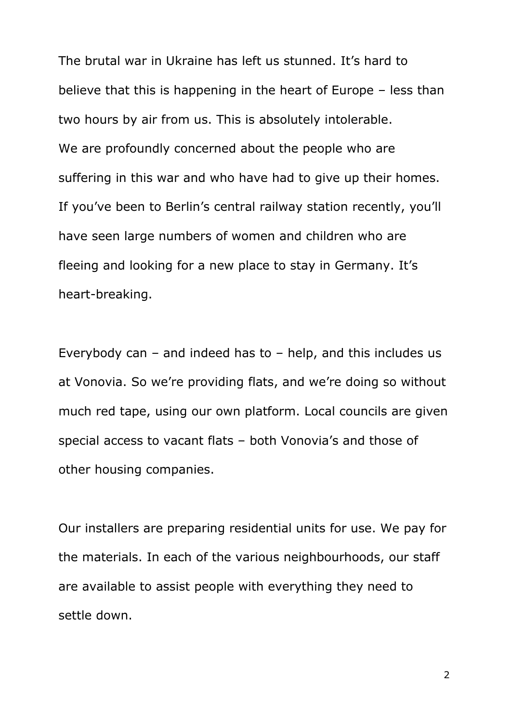The brutal war in Ukraine has left us stunned. It's hard to believe that this is happening in the heart of Europe – less than two hours by air from us. This is absolutely intolerable. We are profoundly concerned about the people who are suffering in this war and who have had to give up their homes. If you've been to Berlin's central railway station recently, you'll have seen large numbers of women and children who are fleeing and looking for a new place to stay in Germany. It's heart-breaking.

Everybody can – and indeed has to – help, and this includes us at Vonovia. So we're providing flats, and we're doing so without much red tape, using our own platform. Local councils are given special access to vacant flats – both Vonovia's and those of other housing companies.

Our installers are preparing residential units for use. We pay for the materials. In each of the various neighbourhoods, our staff are available to assist people with everything they need to settle down.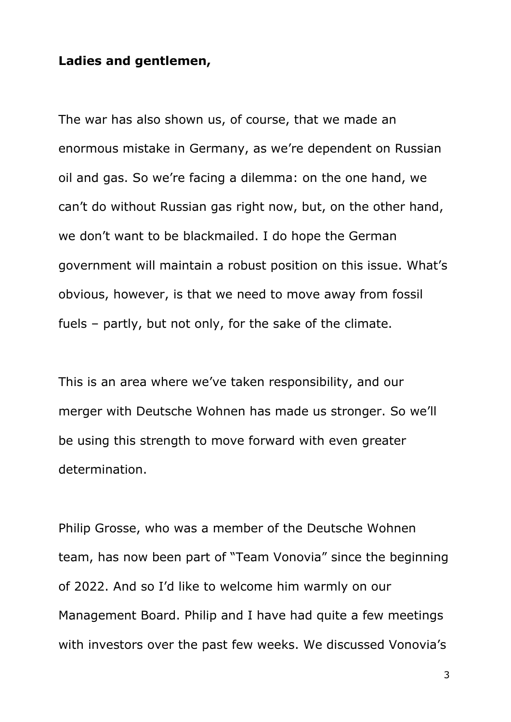## **Ladies and gentlemen,**

The war has also shown us, of course, that we made an enormous mistake in Germany, as we're dependent on Russian oil and gas. So we're facing a dilemma: on the one hand, we can't do without Russian gas right now, but, on the other hand, we don't want to be blackmailed. I do hope the German government will maintain a robust position on this issue. What's obvious, however, is that we need to move away from fossil fuels – partly, but not only, for the sake of the climate.

This is an area where we've taken responsibility, and our merger with Deutsche Wohnen has made us stronger. So we'll be using this strength to move forward with even greater determination.

Philip Grosse, who was a member of the Deutsche Wohnen team, has now been part of "Team Vonovia" since the beginning of 2022. And so I'd like to welcome him warmly on our Management Board. Philip and I have had quite a few meetings with investors over the past few weeks. We discussed Vonovia's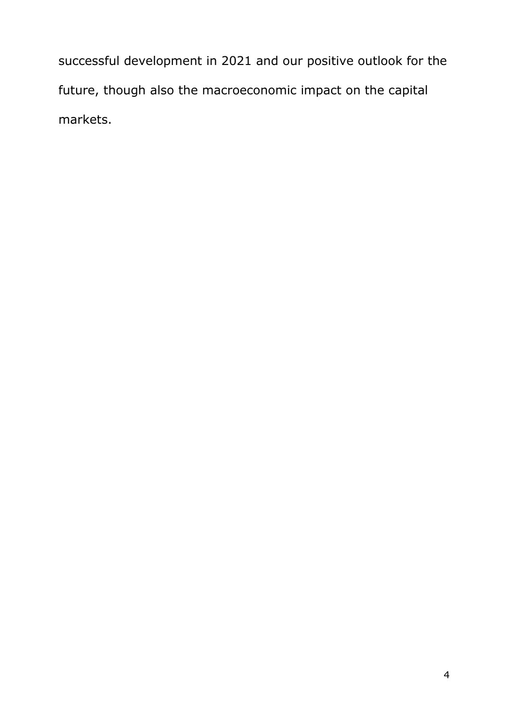successful development in 2021 and our positive outlook for the future, though also the macroeconomic impact on the capital markets.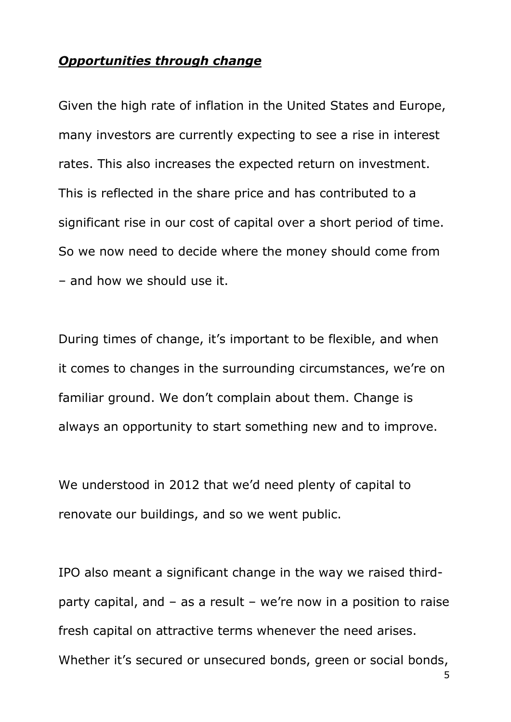## *Opportunities through change*

Given the high rate of inflation in the United States and Europe, many investors are currently expecting to see a rise in interest rates. This also increases the expected return on investment. This is reflected in the share price and has contributed to a significant rise in our cost of capital over a short period of time. So we now need to decide where the money should come from – and how we should use it.

During times of change, it's important to be flexible, and when it comes to changes in the surrounding circumstances, we're on familiar ground. We don't complain about them. Change is always an opportunity to start something new and to improve.

We understood in 2012 that we'd need plenty of capital to renovate our buildings, and so we went public.

IPO also meant a significant change in the way we raised thirdparty capital, and – as a result – we're now in a position to raise fresh capital on attractive terms whenever the need arises. Whether it's secured or unsecured bonds, green or social bonds,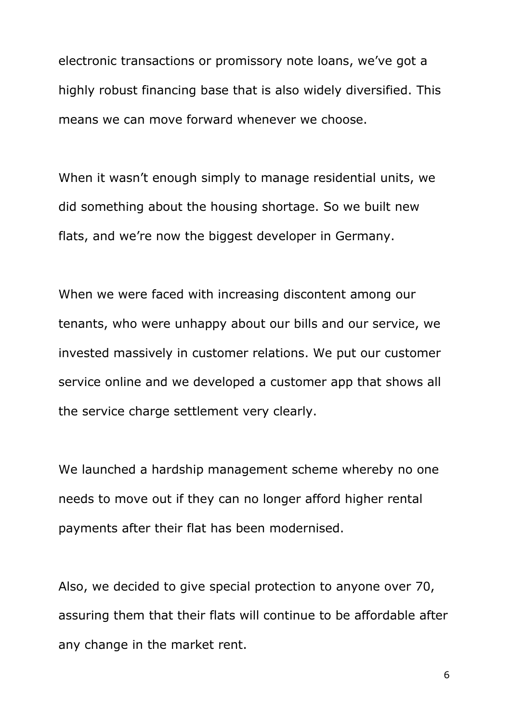electronic transactions or promissory note loans, we've got a highly robust financing base that is also widely diversified. This means we can move forward whenever we choose.

When it wasn't enough simply to manage residential units, we did something about the housing shortage. So we built new flats, and we're now the biggest developer in Germany.

When we were faced with increasing discontent among our tenants, who were unhappy about our bills and our service, we invested massively in customer relations. We put our customer service online and we developed a customer app that shows all the service charge settlement very clearly.

We launched a hardship management scheme whereby no one needs to move out if they can no longer afford higher rental payments after their flat has been modernised.

Also, we decided to give special protection to anyone over 70, assuring them that their flats will continue to be affordable after any change in the market rent.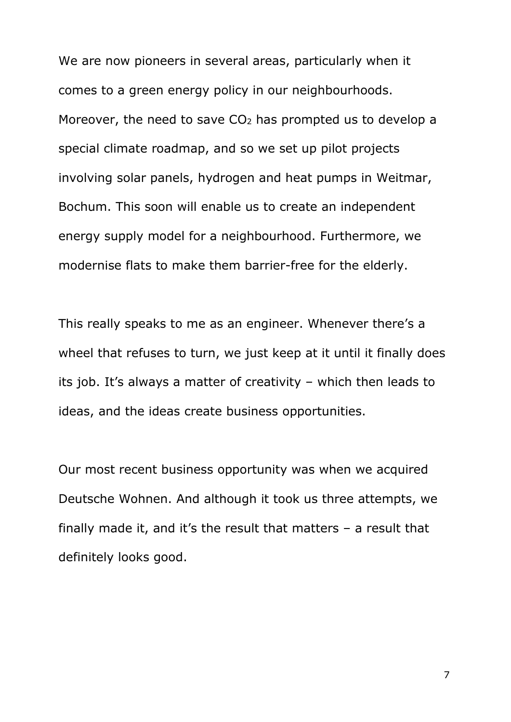We are now pioneers in several areas, particularly when it comes to a green energy policy in our neighbourhoods. Moreover, the need to save  $CO<sub>2</sub>$  has prompted us to develop a special climate roadmap, and so we set up pilot projects involving solar panels, hydrogen and heat pumps in Weitmar, Bochum. This soon will enable us to create an independent energy supply model for a neighbourhood. Furthermore, we modernise flats to make them barrier-free for the elderly.

This really speaks to me as an engineer. Whenever there's a wheel that refuses to turn, we just keep at it until it finally does its job. It's always a matter of creativity – which then leads to ideas, and the ideas create business opportunities.

Our most recent business opportunity was when we acquired Deutsche Wohnen. And although it took us three attempts, we finally made it, and it's the result that matters – a result that definitely looks good.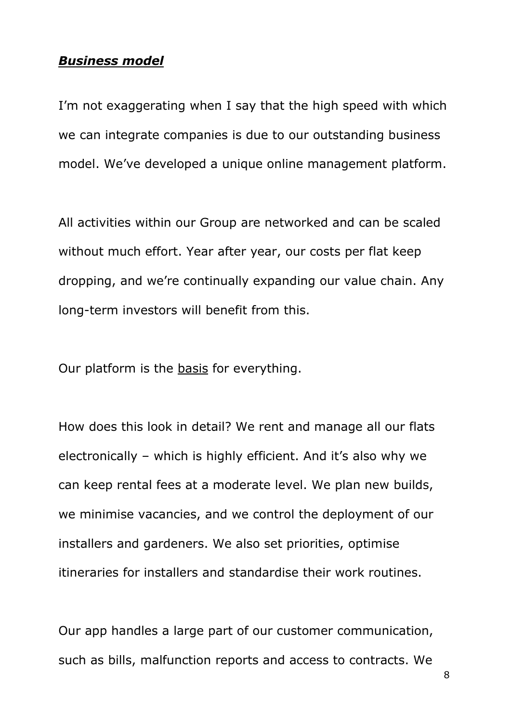#### *Business model*

I'm not exaggerating when I say that the high speed with which we can integrate companies is due to our outstanding business model. We've developed a unique online management platform.

All activities within our Group are networked and can be scaled without much effort. Year after year, our costs per flat keep dropping, and we're continually expanding our value chain. Any long-term investors will benefit from this.

Our platform is the basis for everything.

How does this look in detail? We rent and manage all our flats electronically – which is highly efficient. And it's also why we can keep rental fees at a moderate level. We plan new builds, we minimise vacancies, and we control the deployment of our installers and gardeners. We also set priorities, optimise itineraries for installers and standardise their work routines.

Our app handles a large part of our customer communication, such as bills, malfunction reports and access to contracts. We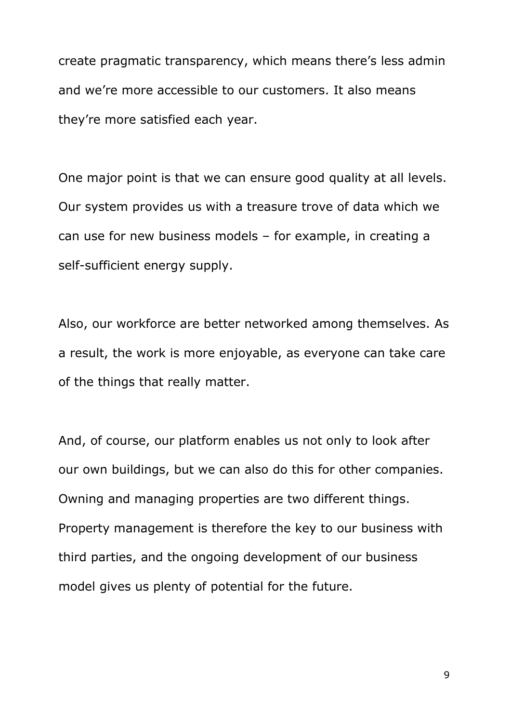create pragmatic transparency, which means there's less admin and we're more accessible to our customers. It also means they're more satisfied each year.

One major point is that we can ensure good quality at all levels. Our system provides us with a treasure trove of data which we can use for new business models – for example, in creating a self-sufficient energy supply.

Also, our workforce are better networked among themselves. As a result, the work is more enjoyable, as everyone can take care of the things that really matter.

And, of course, our platform enables us not only to look after our own buildings, but we can also do this for other companies. Owning and managing properties are two different things. Property management is therefore the key to our business with third parties, and the ongoing development of our business model gives us plenty of potential for the future.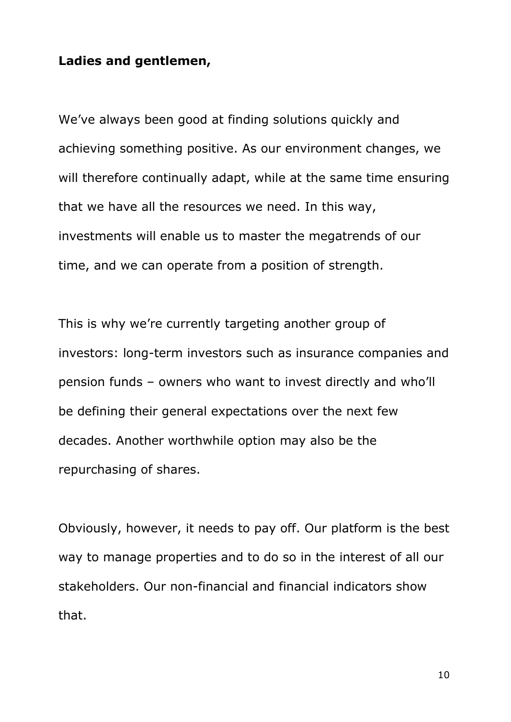## **Ladies and gentlemen,**

We've always been good at finding solutions quickly and achieving something positive. As our environment changes, we will therefore continually adapt, while at the same time ensuring that we have all the resources we need. In this way, investments will enable us to master the megatrends of our time, and we can operate from a position of strength.

This is why we're currently targeting another group of investors: long-term investors such as insurance companies and pension funds – owners who want to invest directly and who'll be defining their general expectations over the next few decades. Another worthwhile option may also be the repurchasing of shares.

Obviously, however, it needs to pay off. Our platform is the best way to manage properties and to do so in the interest of all our stakeholders. Our non-financial and financial indicators show that.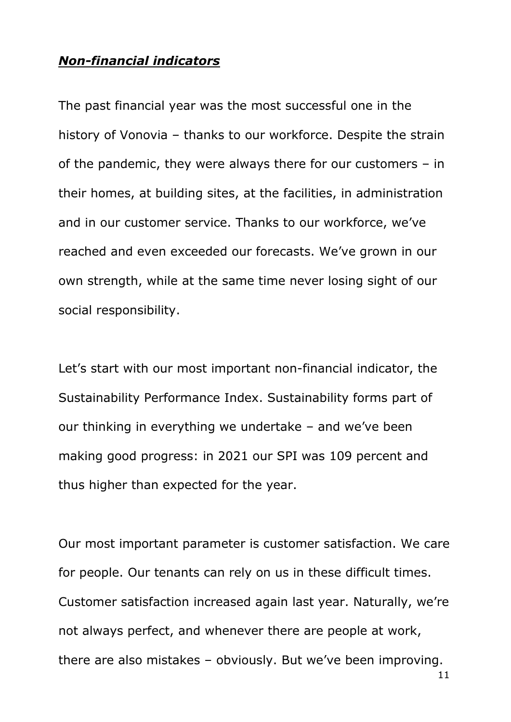## *Non-financial indicators*

The past financial year was the most successful one in the history of Vonovia – thanks to our workforce. Despite the strain of the pandemic, they were always there for our customers – in their homes, at building sites, at the facilities, in administration and in our customer service. Thanks to our workforce, we've reached and even exceeded our forecasts. We've grown in our own strength, while at the same time never losing sight of our social responsibility.

Let's start with our most important non-financial indicator, the Sustainability Performance Index. Sustainability forms part of our thinking in everything we undertake – and we've been making good progress: in 2021 our SPI was 109 percent and thus higher than expected for the year.

Our most important parameter is customer satisfaction. We care for people. Our tenants can rely on us in these difficult times. Customer satisfaction increased again last year. Naturally, we're not always perfect, and whenever there are people at work, there are also mistakes – obviously. But we've been improving.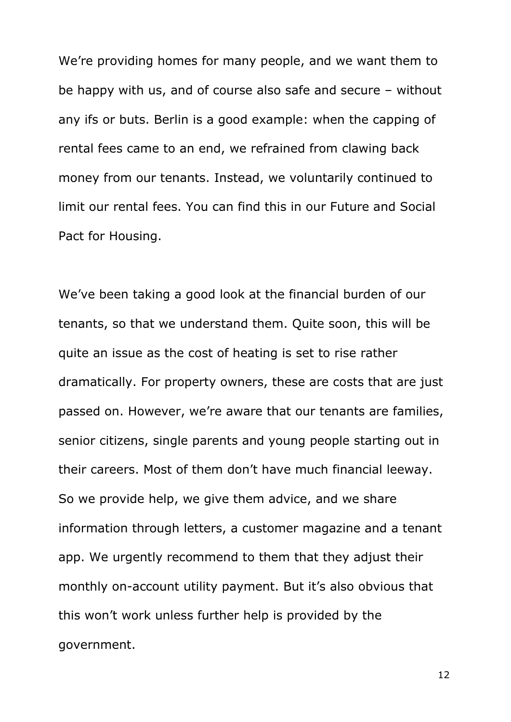We're providing homes for many people, and we want them to be happy with us, and of course also safe and secure – without any ifs or buts. Berlin is a good example: when the capping of rental fees came to an end, we refrained from clawing back money from our tenants. Instead, we voluntarily continued to limit our rental fees. You can find this in our Future and Social Pact for Housing.

We've been taking a good look at the financial burden of our tenants, so that we understand them. Quite soon, this will be quite an issue as the cost of heating is set to rise rather dramatically. For property owners, these are costs that are just passed on. However, we're aware that our tenants are families, senior citizens, single parents and young people starting out in their careers. Most of them don't have much financial leeway. So we provide help, we give them advice, and we share information through letters, a customer magazine and a tenant app. We urgently recommend to them that they adjust their monthly on-account utility payment. But it's also obvious that this won't work unless further help is provided by the government.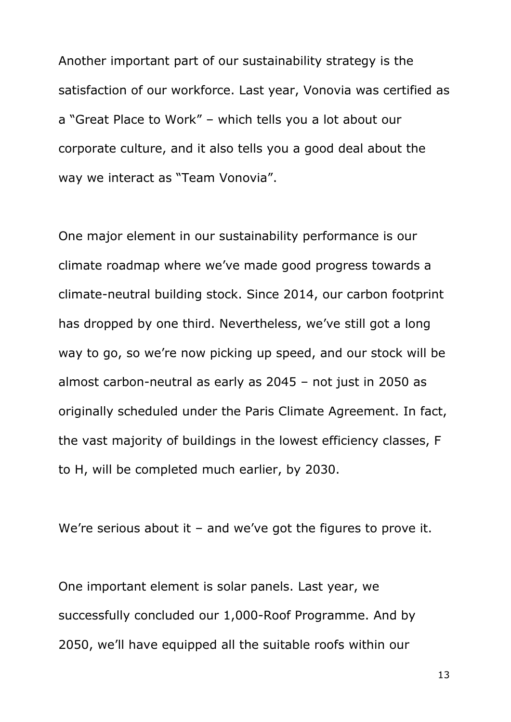Another important part of our sustainability strategy is the satisfaction of our workforce. Last year, Vonovia was certified as a "Great Place to Work" – which tells you a lot about our corporate culture, and it also tells you a good deal about the way we interact as "Team Vonovia".

One major element in our sustainability performance is our climate roadmap where we've made good progress towards a climate-neutral building stock. Since 2014, our carbon footprint has dropped by one third. Nevertheless, we've still got a long way to go, so we're now picking up speed, and our stock will be almost carbon-neutral as early as 2045 – not just in 2050 as originally scheduled under the Paris Climate Agreement. In fact, the vast majority of buildings in the lowest efficiency classes, F to H, will be completed much earlier, by 2030.

We're serious about it – and we've got the figures to prove it.

One important element is solar panels. Last year, we successfully concluded our 1,000-Roof Programme. And by 2050, we'll have equipped all the suitable roofs within our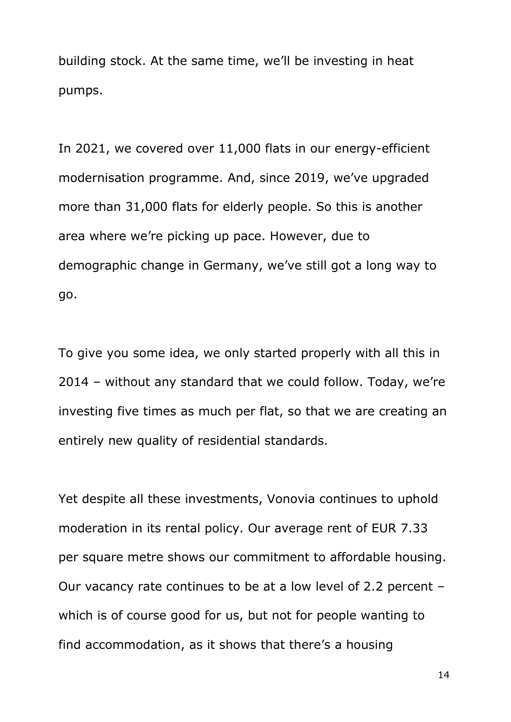building stock. At the same time, we'll be investing in heat pumps.

In 2021, we covered over 11,000 flats in our energy-efficient modernisation programme. And, since 2019, we've upgraded more than 31,000 flats for elderly people. So this is another area where we're picking up pace. However, due to demographic change in Germany, we've still got a long way to go.

To give you some idea, we only started properly with all this in 2014 – without any standard that we could follow. Today, we're investing five times as much per flat, so that we are creating an entirely new quality of residential standards.

Yet despite all these investments, Vonovia continues to uphold moderation in its rental policy. Our average rent of EUR 7.33 per square metre shows our commitment to affordable housing. Our vacancy rate continues to be at a low level of 2.2 percent – which is of course good for us, but not for people wanting to find accommodation, as it shows that there's a housing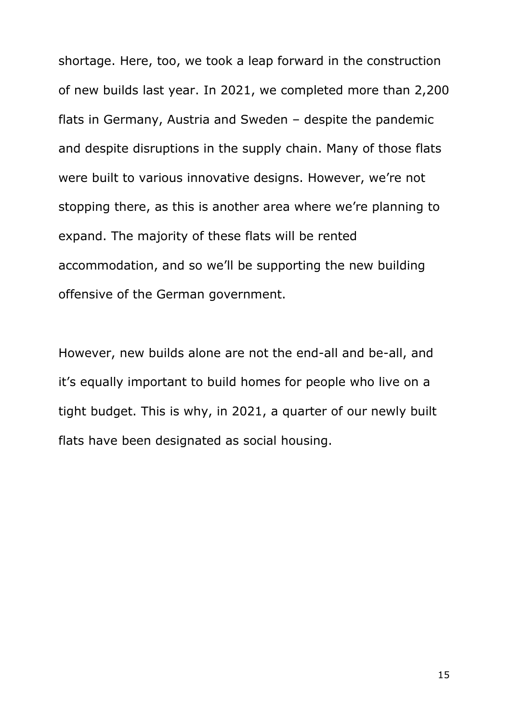shortage. Here, too, we took a leap forward in the construction of new builds last year. In 2021, we completed more than 2,200 flats in Germany, Austria and Sweden – despite the pandemic and despite disruptions in the supply chain. Many of those flats were built to various innovative designs. However, we're not stopping there, as this is another area where we're planning to expand. The majority of these flats will be rented accommodation, and so we'll be supporting the new building offensive of the German government.

However, new builds alone are not the end-all and be-all, and it's equally important to build homes for people who live on a tight budget. This is why, in 2021, a quarter of our newly built flats have been designated as social housing.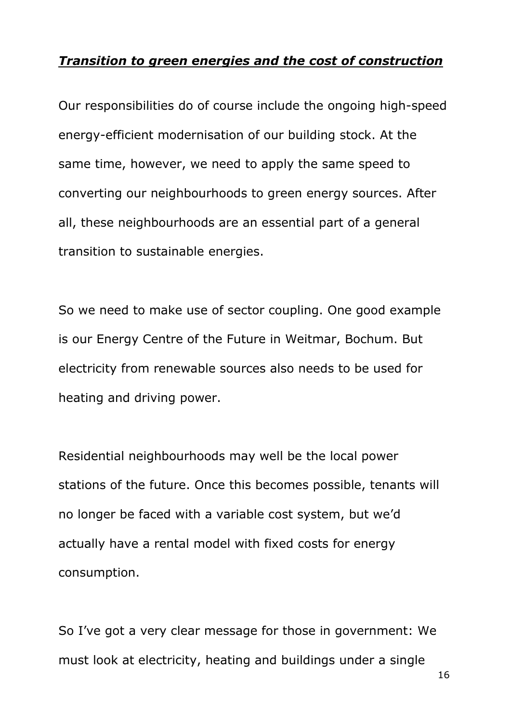## *Transition to green energies and the cost of construction*

Our responsibilities do of course include the ongoing high-speed energy-efficient modernisation of our building stock. At the same time, however, we need to apply the same speed to converting our neighbourhoods to green energy sources. After all, these neighbourhoods are an essential part of a general transition to sustainable energies.

So we need to make use of sector coupling. One good example is our Energy Centre of the Future in Weitmar, Bochum. But electricity from renewable sources also needs to be used for heating and driving power.

Residential neighbourhoods may well be the local power stations of the future. Once this becomes possible, tenants will no longer be faced with a variable cost system, but we'd actually have a rental model with fixed costs for energy consumption.

So I've got a very clear message for those in government: We must look at electricity, heating and buildings under a single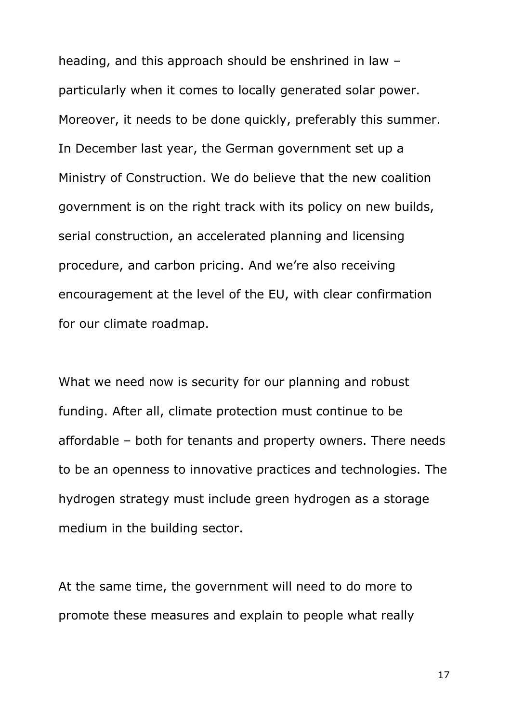heading, and this approach should be enshrined in law – particularly when it comes to locally generated solar power. Moreover, it needs to be done quickly, preferably this summer. In December last year, the German government set up a Ministry of Construction. We do believe that the new coalition government is on the right track with its policy on new builds, serial construction, an accelerated planning and licensing procedure, and carbon pricing. And we're also receiving encouragement at the level of the EU, with clear confirmation for our climate roadmap.

What we need now is security for our planning and robust funding. After all, climate protection must continue to be affordable – both for tenants and property owners. There needs to be an openness to innovative practices and technologies. The hydrogen strategy must include green hydrogen as a storage medium in the building sector.

At the same time, the government will need to do more to promote these measures and explain to people what really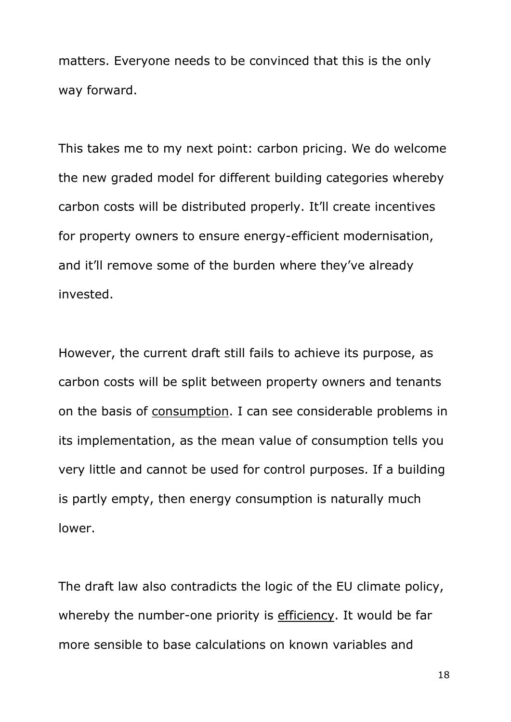matters. Everyone needs to be convinced that this is the only way forward.

This takes me to my next point: carbon pricing. We do welcome the new graded model for different building categories whereby carbon costs will be distributed properly. It'll create incentives for property owners to ensure energy-efficient modernisation, and it'll remove some of the burden where they've already invested.

However, the current draft still fails to achieve its purpose, as carbon costs will be split between property owners and tenants on the basis of consumption. I can see considerable problems in its implementation, as the mean value of consumption tells you very little and cannot be used for control purposes. If a building is partly empty, then energy consumption is naturally much lower.

The draft law also contradicts the logic of the EU climate policy, whereby the number-one priority is efficiency. It would be far more sensible to base calculations on known variables and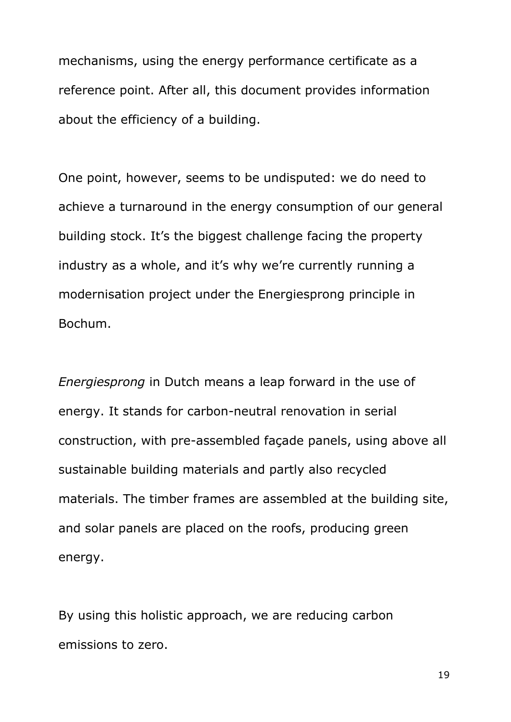mechanisms, using the energy performance certificate as a reference point. After all, this document provides information about the efficiency of a building.

One point, however, seems to be undisputed: we do need to achieve a turnaround in the energy consumption of our general building stock. It's the biggest challenge facing the property industry as a whole, and it's why we're currently running a modernisation project under the Energiesprong principle in Bochum.

*Energiesprong* in Dutch means a leap forward in the use of energy. It stands for carbon-neutral renovation in serial construction, with pre-assembled façade panels, using above all sustainable building materials and partly also recycled materials. The timber frames are assembled at the building site, and solar panels are placed on the roofs, producing green energy.

By using this holistic approach, we are reducing carbon emissions to zero.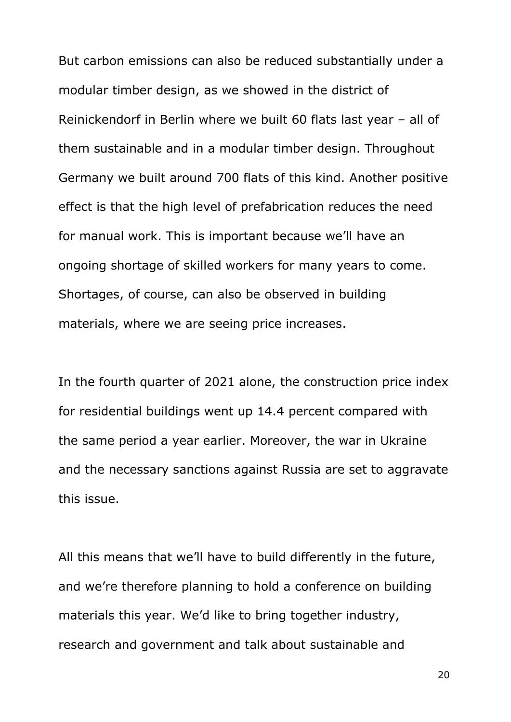But carbon emissions can also be reduced substantially under a modular timber design, as we showed in the district of Reinickendorf in Berlin where we built 60 flats last year – all of them sustainable and in a modular timber design. Throughout Germany we built around 700 flats of this kind. Another positive effect is that the high level of prefabrication reduces the need for manual work. This is important because we'll have an ongoing shortage of skilled workers for many years to come. Shortages, of course, can also be observed in building materials, where we are seeing price increases.

In the fourth quarter of 2021 alone, the construction price index for residential buildings went up 14.4 percent compared with the same period a year earlier. Moreover, the war in Ukraine and the necessary sanctions against Russia are set to aggravate this issue.

All this means that we'll have to build differently in the future, and we're therefore planning to hold a conference on building materials this year. We'd like to bring together industry, research and government and talk about sustainable and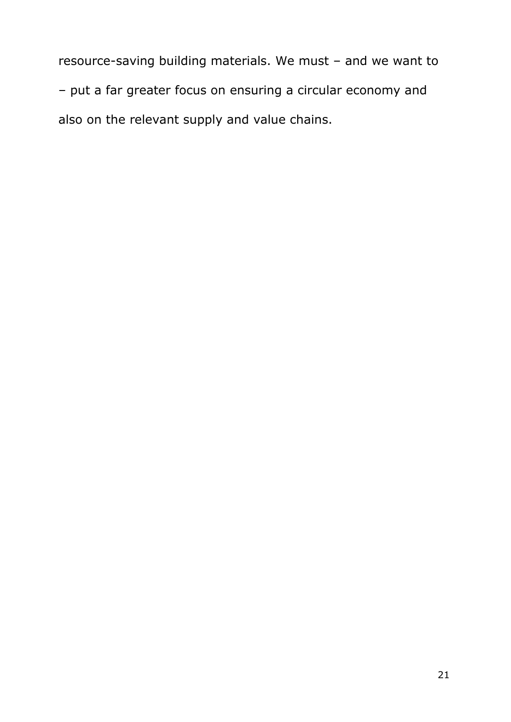resource-saving building materials. We must – and we want to – put a far greater focus on ensuring a circular economy and also on the relevant supply and value chains.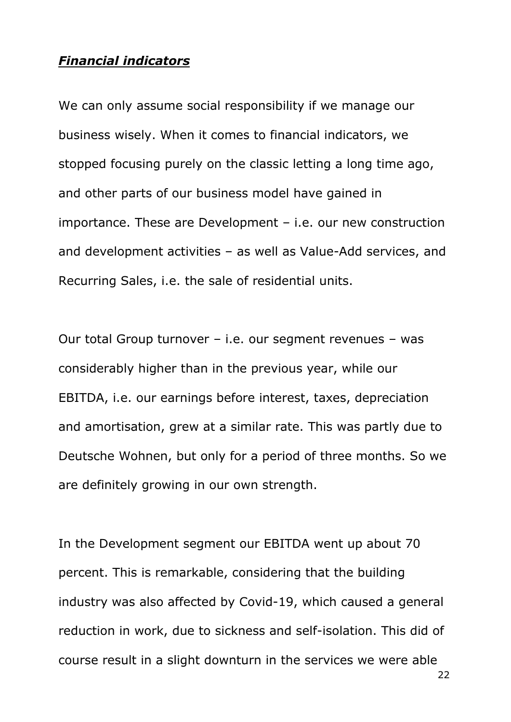## *Financial indicators*

We can only assume social responsibility if we manage our business wisely. When it comes to financial indicators, we stopped focusing purely on the classic letting a long time ago, and other parts of our business model have gained in importance. These are Development – i.e. our new construction and development activities – as well as Value-Add services, and Recurring Sales, i.e. the sale of residential units.

Our total Group turnover – i.e. our segment revenues – was considerably higher than in the previous year, while our EBITDA, i.e. our earnings before interest, taxes, depreciation and amortisation, grew at a similar rate. This was partly due to Deutsche Wohnen, but only for a period of three months. So we are definitely growing in our own strength.

In the Development segment our EBITDA went up about 70 percent. This is remarkable, considering that the building industry was also affected by Covid-19, which caused a general reduction in work, due to sickness and self-isolation. This did of course result in a slight downturn in the services we were able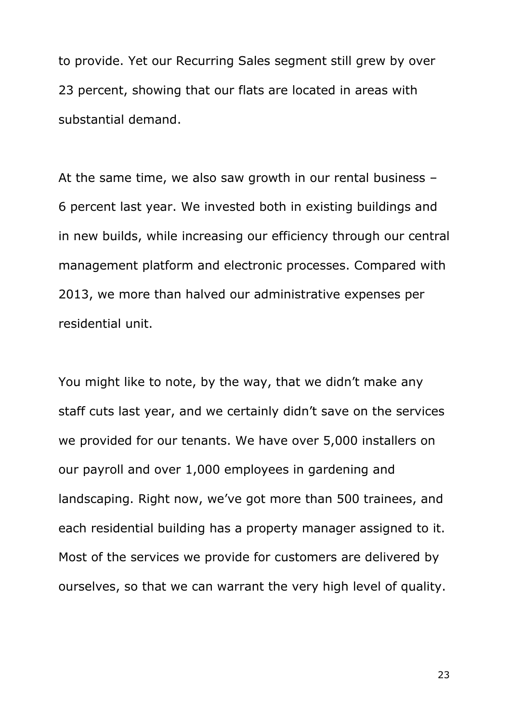to provide. Yet our Recurring Sales segment still grew by over 23 percent, showing that our flats are located in areas with substantial demand.

At the same time, we also saw growth in our rental business – 6 percent last year. We invested both in existing buildings and in new builds, while increasing our efficiency through our central management platform and electronic processes. Compared with 2013, we more than halved our administrative expenses per residential unit.

You might like to note, by the way, that we didn't make any staff cuts last year, and we certainly didn't save on the services we provided for our tenants. We have over 5,000 installers on our payroll and over 1,000 employees in gardening and landscaping. Right now, we've got more than 500 trainees, and each residential building has a property manager assigned to it. Most of the services we provide for customers are delivered by ourselves, so that we can warrant the very high level of quality.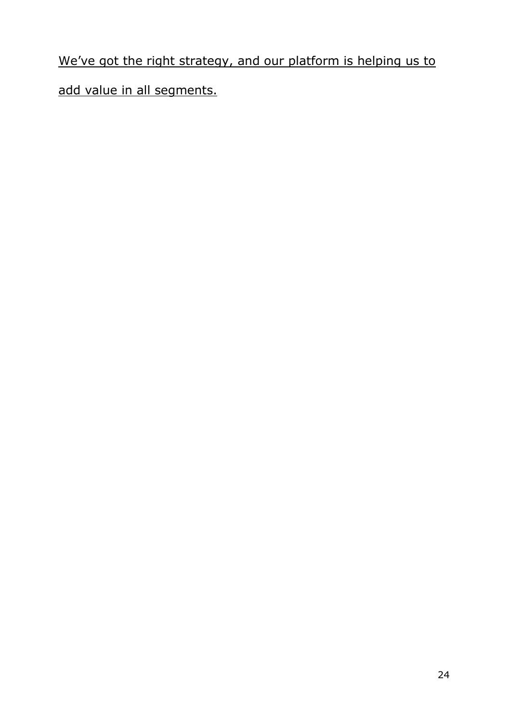We've got the right strategy, and our platform is helping us to add value in all segments.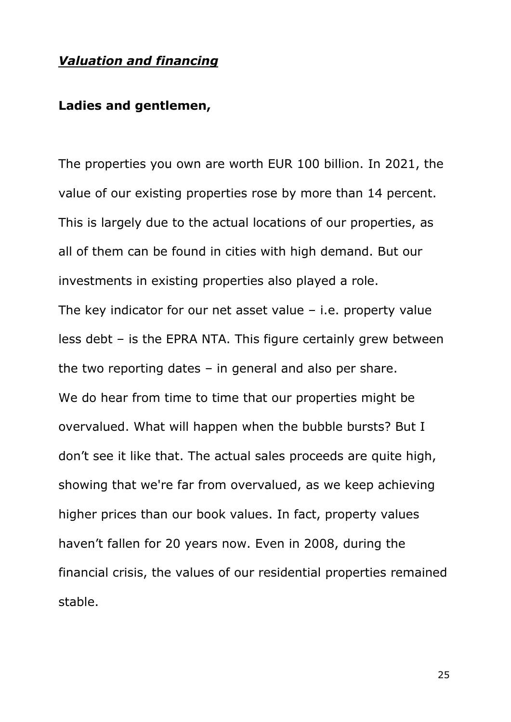## *Valuation and financing*

## **Ladies and gentlemen,**

The properties you own are worth EUR 100 billion. In 2021, the value of our existing properties rose by more than 14 percent. This is largely due to the actual locations of our properties, as all of them can be found in cities with high demand. But our investments in existing properties also played a role. The key indicator for our net asset value – i.e. property value less debt – is the EPRA NTA. This figure certainly grew between the two reporting dates – in general and also per share. We do hear from time to time that our properties might be overvalued. What will happen when the bubble bursts? But I don't see it like that. The actual sales proceeds are quite high, showing that we're far from overvalued, as we keep achieving higher prices than our book values. In fact, property values haven't fallen for 20 years now. Even in 2008, during the financial crisis, the values of our residential properties remained stable.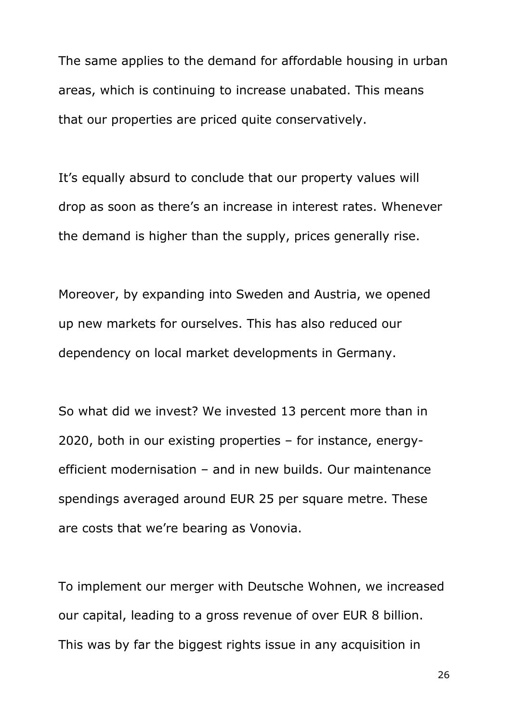The same applies to the demand for affordable housing in urban areas, which is continuing to increase unabated. This means that our properties are priced quite conservatively.

It's equally absurd to conclude that our property values will drop as soon as there's an increase in interest rates. Whenever the demand is higher than the supply, prices generally rise.

Moreover, by expanding into Sweden and Austria, we opened up new markets for ourselves. This has also reduced our dependency on local market developments in Germany.

So what did we invest? We invested 13 percent more than in 2020, both in our existing properties – for instance, energyefficient modernisation – and in new builds. Our maintenance spendings averaged around EUR 25 per square metre. These are costs that we're bearing as Vonovia.

To implement our merger with Deutsche Wohnen, we increased our capital, leading to a gross revenue of over EUR 8 billion. This was by far the biggest rights issue in any acquisition in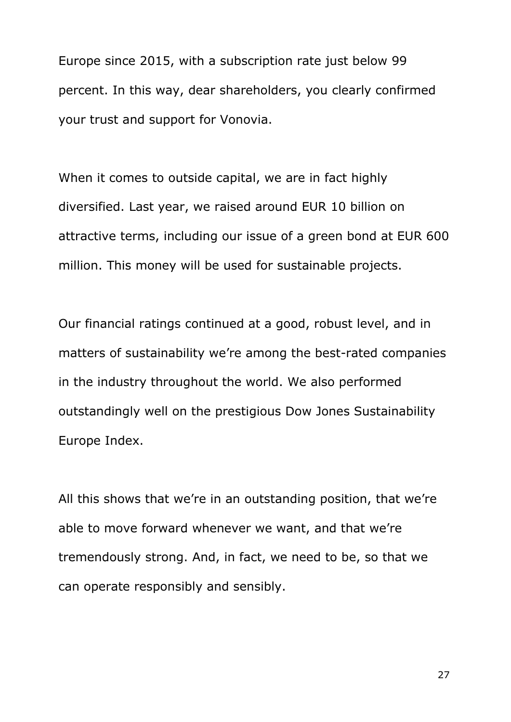Europe since 2015, with a subscription rate just below 99 percent. In this way, dear shareholders, you clearly confirmed your trust and support for Vonovia.

When it comes to outside capital, we are in fact highly diversified. Last year, we raised around EUR 10 billion on attractive terms, including our issue of a green bond at EUR 600 million. This money will be used for sustainable projects.

Our financial ratings continued at a good, robust level, and in matters of sustainability we're among the best-rated companies in the industry throughout the world. We also performed outstandingly well on the prestigious Dow Jones Sustainability Europe Index.

All this shows that we're in an outstanding position, that we're able to move forward whenever we want, and that we're tremendously strong. And, in fact, we need to be, so that we can operate responsibly and sensibly.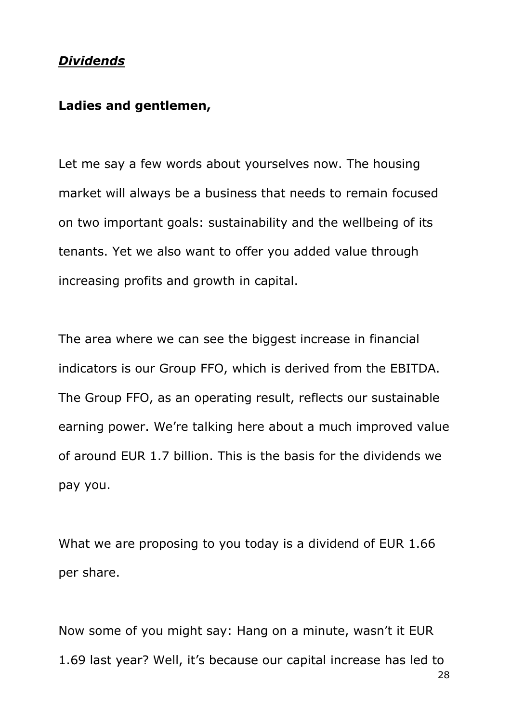## *Dividends*

#### **Ladies and gentlemen,**

Let me say a few words about yourselves now. The housing market will always be a business that needs to remain focused on two important goals: sustainability and the wellbeing of its tenants. Yet we also want to offer you added value through increasing profits and growth in capital.

The area where we can see the biggest increase in financial indicators is our Group FFO, which is derived from the EBITDA. The Group FFO, as an operating result, reflects our sustainable earning power. We're talking here about a much improved value of around EUR 1.7 billion. This is the basis for the dividends we pay you.

What we are proposing to you today is a dividend of EUR 1.66 per share.

28 Now some of you might say: Hang on a minute, wasn't it EUR 1.69 last year? Well, it's because our capital increase has led to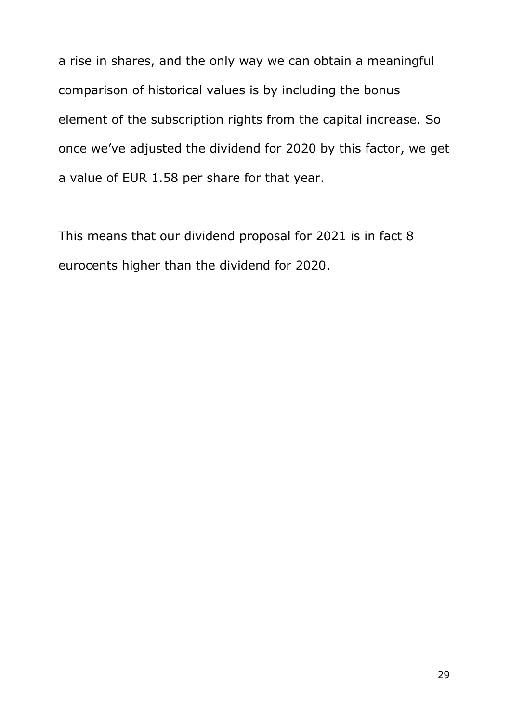a rise in shares, and the only way we can obtain a meaningful comparison of historical values is by including the bonus element of the subscription rights from the capital increase. So once we've adjusted the dividend for 2020 by this factor, we get a value of EUR 1.58 per share for that year.

This means that our dividend proposal for 2021 is in fact 8 eurocents higher than the dividend for 2020.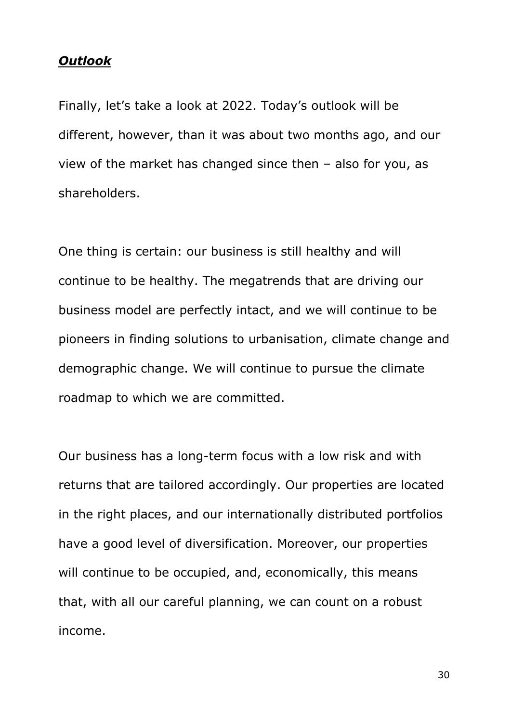#### *Outlook*

Finally, let's take a look at 2022. Today's outlook will be different, however, than it was about two months ago, and our view of the market has changed since then – also for you, as shareholders.

One thing is certain: our business is still healthy and will continue to be healthy. The megatrends that are driving our business model are perfectly intact, and we will continue to be pioneers in finding solutions to urbanisation, climate change and demographic change. We will continue to pursue the climate roadmap to which we are committed.

Our business has a long-term focus with a low risk and with returns that are tailored accordingly. Our properties are located in the right places, and our internationally distributed portfolios have a good level of diversification. Moreover, our properties will continue to be occupied, and, economically, this means that, with all our careful planning, we can count on a robust income.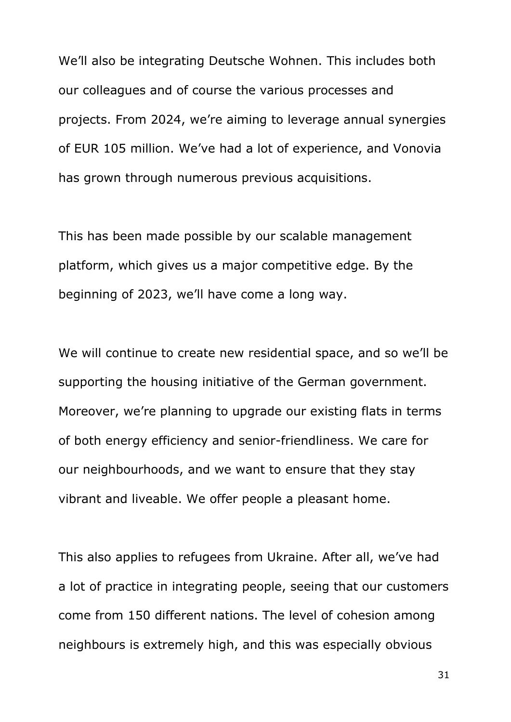We'll also be integrating Deutsche Wohnen. This includes both our colleagues and of course the various processes and projects. From 2024, we're aiming to leverage annual synergies of EUR 105 million. We've had a lot of experience, and Vonovia has grown through numerous previous acquisitions.

This has been made possible by our scalable management platform, which gives us a major competitive edge. By the beginning of 2023, we'll have come a long way.

We will continue to create new residential space, and so we'll be supporting the housing initiative of the German government. Moreover, we're planning to upgrade our existing flats in terms of both energy efficiency and senior-friendliness. We care for our neighbourhoods, and we want to ensure that they stay vibrant and liveable. We offer people a pleasant home.

This also applies to refugees from Ukraine. After all, we've had a lot of practice in integrating people, seeing that our customers come from 150 different nations. The level of cohesion among neighbours is extremely high, and this was especially obvious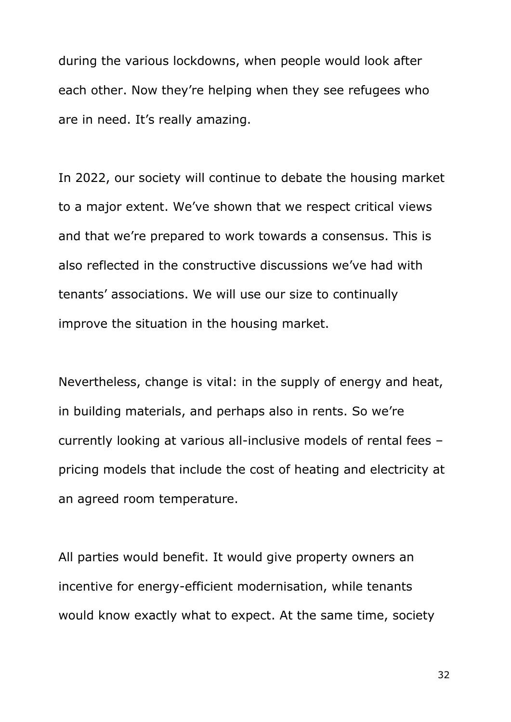during the various lockdowns, when people would look after each other. Now they're helping when they see refugees who are in need. It's really amazing.

In 2022, our society will continue to debate the housing market to a major extent. We've shown that we respect critical views and that we're prepared to work towards a consensus. This is also reflected in the constructive discussions we've had with tenants' associations. We will use our size to continually improve the situation in the housing market.

Nevertheless, change is vital: in the supply of energy and heat, in building materials, and perhaps also in rents. So we're currently looking at various all-inclusive models of rental fees – pricing models that include the cost of heating and electricity at an agreed room temperature.

All parties would benefit. It would give property owners an incentive for energy-efficient modernisation, while tenants would know exactly what to expect. At the same time, society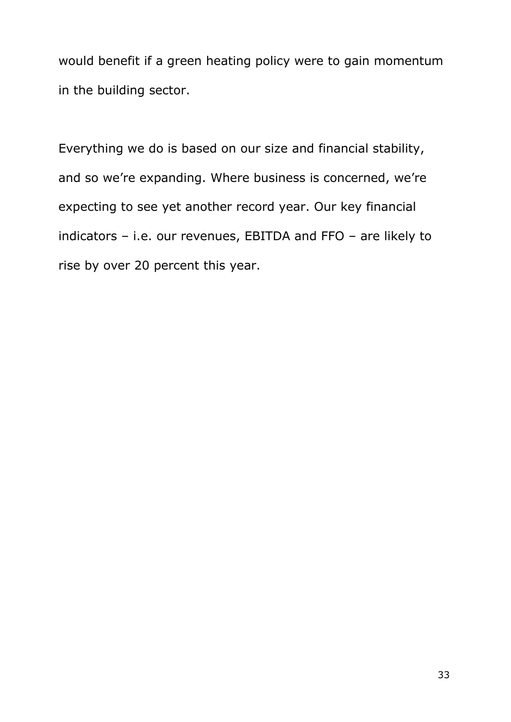would benefit if a green heating policy were to gain momentum in the building sector.

Everything we do is based on our size and financial stability, and so we're expanding. Where business is concerned, we're expecting to see yet another record year. Our key financial indicators – i.e. our revenues, EBITDA and FFO – are likely to rise by over 20 percent this year.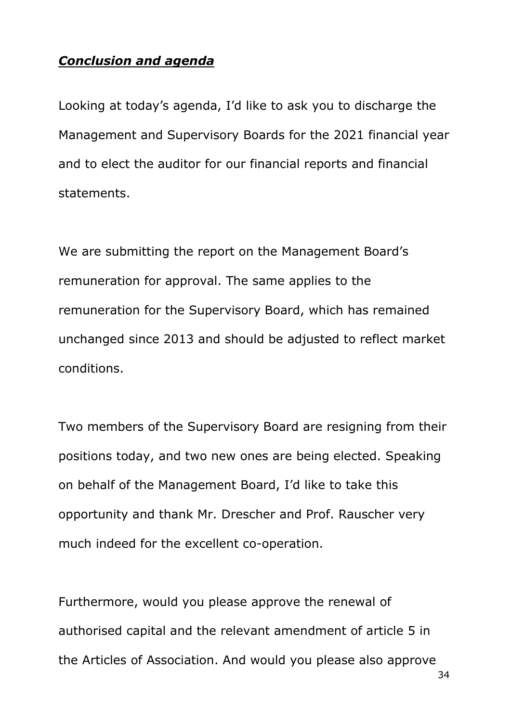# *Conclusion and agenda*

Looking at today's agenda, I'd like to ask you to discharge the Management and Supervisory Boards for the 2021 financial year and to elect the auditor for our financial reports and financial statements.

We are submitting the report on the Management Board's remuneration for approval. The same applies to the remuneration for the Supervisory Board, which has remained unchanged since 2013 and should be adjusted to reflect market conditions.

Two members of the Supervisory Board are resigning from their positions today, and two new ones are being elected. Speaking on behalf of the Management Board, I'd like to take this opportunity and thank Mr. Drescher and Prof. Rauscher very much indeed for the excellent co-operation.

Furthermore, would you please approve the renewal of authorised capital and the relevant amendment of article 5 in the Articles of Association. And would you please also approve